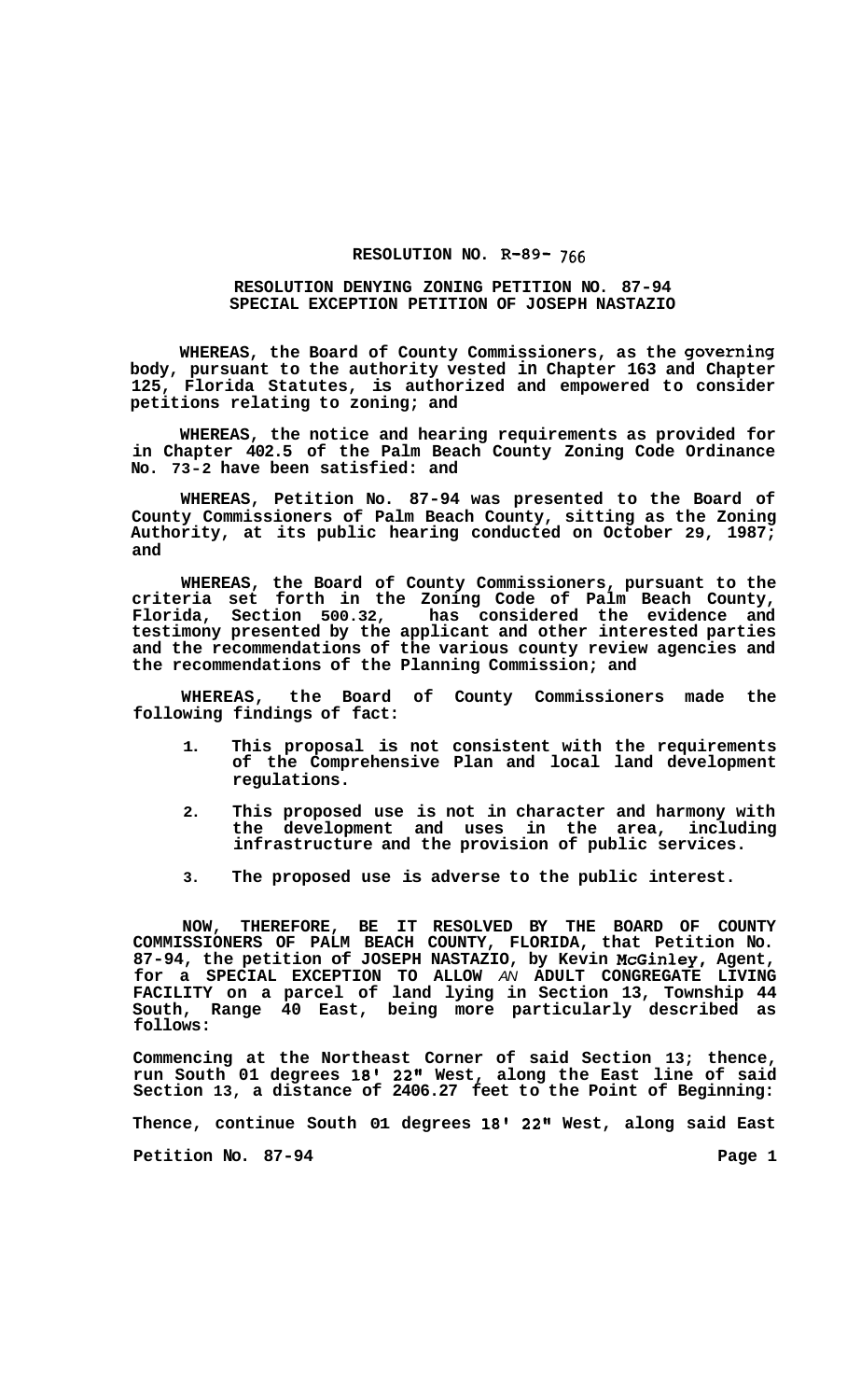## **RESOLUTION NO. R-89-** 766

## **RESOLUTION DENYING ZONING PETITION NO. 87-94 SPECIAL EXCEPTION PETITION OF JOSEPH NASTAZIO**

**WHEREAS, the Board of County Commissioners, as the governing body, pursuant to the authority vested in Chapter 163 and Chapter 125, Florida Statutes, is authorized and empowered to consider petitions relating to zoning; and** 

**WHEREAS, the notice and hearing requirements as provided for in Chapter 402.5 of the Palm Beach County Zoning Code Ordinance No. 73-2 have been satisfied: and** 

**WHEREAS, Petition No. 87-94 was presented to the Board of County Commissioners of Palm Beach County, sitting as the Zoning Authority, at its public hearing conducted on October 29, 1987; and** 

**WHEREAS, the Board of County Commissioners, pursuant to the criteria set forth in the Zoning Code of Palm Beach County, Florida, Section 500.32, has considered the evidence and testimony presented by the applicant and other interested parties and the recommendations of the various county review agencies and the recommendations of the Planning Commission; and** 

**WHEREAS, the Board of County Commissioners made the following findings of fact:** 

- **1. This proposal is not consistent with the requirements of the Comprehensive Plan and local land development regulations.**
- **2. This proposed use is not in character and harmony with the development and uses in the area, including infrastructure and the provision of public services.**
- **3. The proposed use is adverse to the public interest.**

**NOW, THEREFORE, BE IT RESOLVED BY THE BOARD OF COUNTY COMMISSIONERS OF PALM BEACH COUNTY, FLORIDA, that Petition No. 87-94, the petition of JOSEPH NASTAZIO, by Kevin McGinley, Agent, for a SPECIAL EXCEPTION TO ALLOW** *AN* **ADULT CONGREGATE LIVING FACILITY on a parcel of land lying in Section 13, Township 44 South, Range 40 East, being more particularly described as follows:** 

**Commencing at the Northeast Corner of said Section 13; thence, run South 01 degrees 18' 22" West, along the East line of said Section 13, a distance of 2406.27 feet to the Point of Beginning: Thence, continue South 01 degrees 18' 22" West, along said East**  Petition No. 87-94 **Page 1 Page 1**